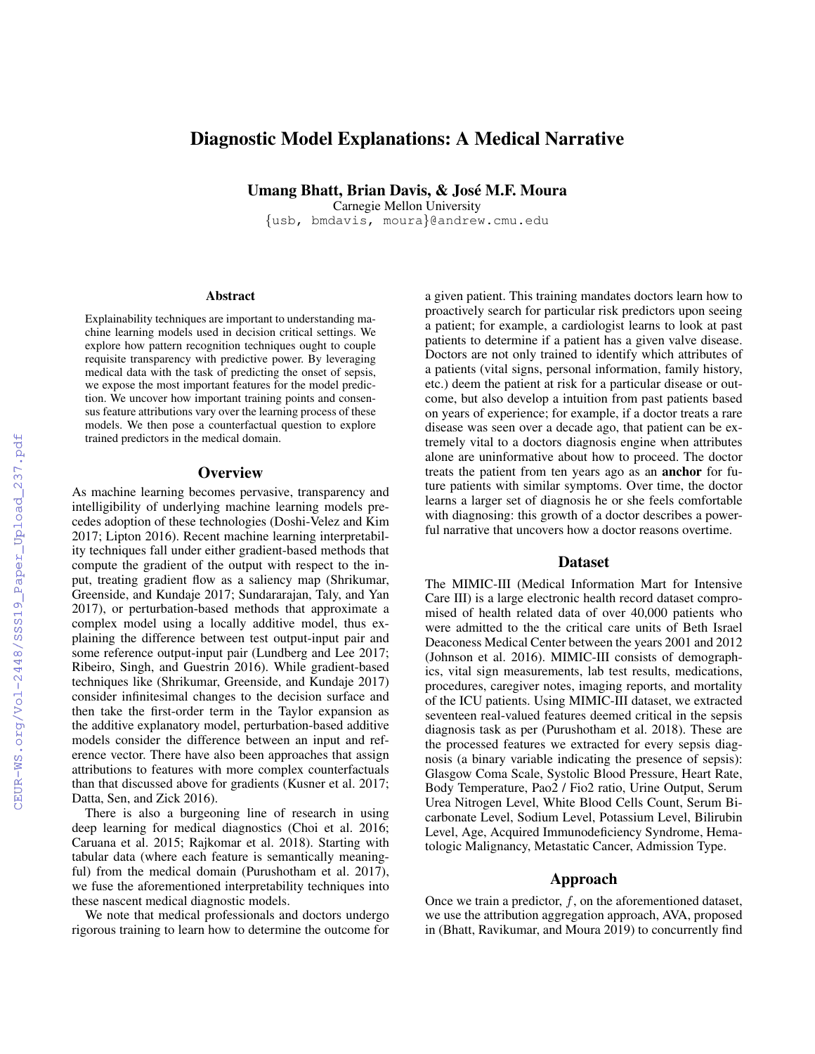# Diagnostic Model Explanations: A Medical Narrative

Umang Bhatt, Brian Davis, & Jose M.F. Moura ´

Carnegie Mellon University {usb, bmdavis, moura}@andrew.cmu.edu

#### **Abstract**

Explainability techniques are important to understanding machine learning models used in decision critical settings. We explore how pattern recognition techniques ought to couple requisite transparency with predictive power. By leveraging medical data with the task of predicting the onset of sepsis, we expose the most important features for the model prediction. We uncover how important training points and consensus feature attributions vary over the learning process of these models. We then pose a counterfactual question to explore trained predictors in the medical domain.

## **Overview**

As machine learning becomes pervasive, transparency and intelligibility of underlying machine learning models precedes adoption of these technologies (Doshi-Velez and Kim 2017; Lipton 2016). Recent machine learning interpretability techniques fall under either gradient-based methods that compute the gradient of the output with respect to the input, treating gradient flow as a saliency map (Shrikumar, Greenside, and Kundaje 2017; Sundararajan, Taly, and Yan 2017), or perturbation-based methods that approximate a complex model using a locally additive model, thus explaining the difference between test output-input pair and some reference output-input pair (Lundberg and Lee 2017; Ribeiro, Singh, and Guestrin 2016). While gradient-based techniques like (Shrikumar, Greenside, and Kundaje 2017) consider infinitesimal changes to the decision surface and then take the first-order term in the Taylor expansion as the additive explanatory model, perturbation-based additive models consider the difference between an input and reference vector. There have also been approaches that assign attributions to features with more complex counterfactuals than that discussed above for gradients (Kusner et al. 2017; Datta, Sen, and Zick 2016).

There is also a burgeoning line of research in using deep learning for medical diagnostics (Choi et al. 2016; Caruana et al. 2015; Rajkomar et al. 2018). Starting with tabular data (where each feature is semantically meaningful) from the medical domain (Purushotham et al. 2017), we fuse the aforementioned interpretability techniques into these nascent medical diagnostic models.

We note that medical professionals and doctors undergo rigorous training to learn how to determine the outcome for

a given patient. This training mandates doctors learn how to proactively search for particular risk predictors upon seeing a patient; for example, a cardiologist learns to look at past patients to determine if a patient has a given valve disease. Doctors are not only trained to identify which attributes of a patients (vital signs, personal information, family history, etc.) deem the patient at risk for a particular disease or outcome, but also develop a intuition from past patients based on years of experience; for example, if a doctor treats a rare disease was seen over a decade ago, that patient can be extremely vital to a doctors diagnosis engine when attributes alone are uninformative about how to proceed. The doctor treats the patient from ten years ago as an anchor for future patients with similar symptoms. Over time, the doctor learns a larger set of diagnosis he or she feels comfortable with diagnosing: this growth of a doctor describes a powerful narrative that uncovers how a doctor reasons overtime.

## Dataset

The MIMIC-III (Medical Information Mart for Intensive Care III) is a large electronic health record dataset compromised of health related data of over 40,000 patients who were admitted to the the critical care units of Beth Israel Deaconess Medical Center between the years 2001 and 2012 (Johnson et al. 2016). MIMIC-III consists of demographics, vital sign measurements, lab test results, medications, procedures, caregiver notes, imaging reports, and mortality of the ICU patients. Using MIMIC-III dataset, we extracted seventeen real-valued features deemed critical in the sepsis diagnosis task as per (Purushotham et al. 2018). These are the processed features we extracted for every sepsis diagnosis (a binary variable indicating the presence of sepsis): Glasgow Coma Scale, Systolic Blood Pressure, Heart Rate, Body Temperature, Pao2 / Fio2 ratio, Urine Output, Serum Urea Nitrogen Level, White Blood Cells Count, Serum Bicarbonate Level, Sodium Level, Potassium Level, Bilirubin Level, Age, Acquired Immunodeficiency Syndrome, Hematologic Malignancy, Metastatic Cancer, Admission Type.

## Approach

Once we train a predictor,  $f$ , on the aforementioned dataset, we use the attribution aggregation approach, AVA, proposed in (Bhatt, Ravikumar, and Moura 2019) to concurrently find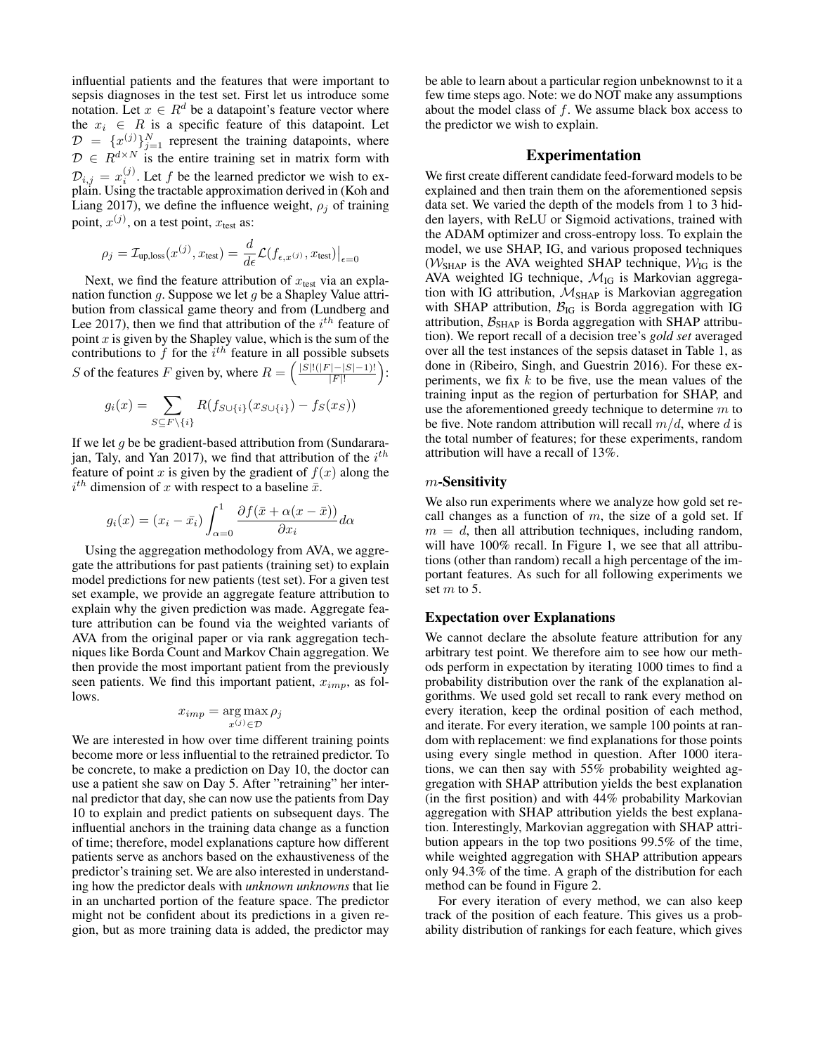influential patients and the features that were important to sepsis diagnoses in the test set. First let us introduce some notation. Let  $x \in R^d$  be a datapoint's feature vector where the  $x_i \in R$  is a specific feature of this datapoint. Let  $\mathcal{D} = \{x^{(j)}\}_{j=1}^N$  represent the training datapoints, where  $\mathcal{D} \in R^{d \times N}$  is the entire training set in matrix form with  $\mathcal{D}_{i,j} = x_i^{(j)}$ . Let f be the learned predictor we wish to explain. Using the tractable approximation derived in (Koh and Liang 2017), we define the influence weight,  $\rho_i$  of training point,  $x^{(j)}$ , on a test point,  $x_{\text{test}}$  as:

$$
\rho_j = \mathcal{I}_{\text{up}, \text{loss}}(x^{(j)}, x_{\text{test}}) = \frac{d}{d\epsilon} \mathcal{L}(f_{\epsilon, x^{(j)}}, x_{\text{test}})\big|_{\epsilon=0}
$$

Next, we find the feature attribution of  $x_{\text{test}}$  via an explanation function  $g$ . Suppose we let  $g$  be a Shapley Value attribution from classical game theory and from (Lundberg and Lee 2017), then we find that attribution of the  $i<sup>th</sup>$  feature of point  $x$  is given by the Shapley value, which is the sum of the contributions to f for the  $i^{th}$  feature in all possible subsets S of the features F given by, where  $R = \left(\frac{|S|!(|F|-|S|-1)!}{|F|!}\right)$  $\frac{|-|S|-1)!}{|F|!}$ :

$$
g_i(x) = \sum_{S \subseteq F \setminus \{i\}} R(f_{S \cup \{i\}}(x_{S \cup \{i\}}) - f_S(x_S))
$$

If we let  $g$  be be gradient-based attribution from (Sundararajan, Taly, and Yan 2017), we find that attribution of the  $i^{th}$ feature of point x is given by the gradient of  $f(x)$  along the  $i^{th}$  dimension of x with respect to a baseline  $\bar{x}$ .

$$
g_i(x) = (x_i - \bar{x}_i) \int_{\alpha=0}^1 \frac{\partial f(\bar{x} + \alpha(x - \bar{x}))}{\partial x_i} d\alpha
$$

Using the aggregation methodology from AVA, we aggregate the attributions for past patients (training set) to explain model predictions for new patients (test set). For a given test set example, we provide an aggregate feature attribution to explain why the given prediction was made. Aggregate feature attribution can be found via the weighted variants of AVA from the original paper or via rank aggregation techniques like Borda Count and Markov Chain aggregation. We then provide the most important patient from the previously seen patients. We find this important patient,  $x_{imp}$ , as follows.

$$
x_{imp} = \underset{x^{(j)} \in \mathcal{D}}{\arg \max} \rho_j
$$

We are interested in how over time different training points become more or less influential to the retrained predictor. To be concrete, to make a prediction on Day 10, the doctor can use a patient she saw on Day 5. After "retraining" her internal predictor that day, she can now use the patients from Day 10 to explain and predict patients on subsequent days. The influential anchors in the training data change as a function of time; therefore, model explanations capture how different patients serve as anchors based on the exhaustiveness of the predictor's training set. We are also interested in understanding how the predictor deals with *unknown unknowns* that lie in an uncharted portion of the feature space. The predictor might not be confident about its predictions in a given region, but as more training data is added, the predictor may

be able to learn about a particular region unbeknownst to it a few time steps ago. Note: we do NOT make any assumptions about the model class of  $f$ . We assume black box access to the predictor we wish to explain.

## Experimentation

We first create different candidate feed-forward models to be explained and then train them on the aforementioned sepsis data set. We varied the depth of the models from 1 to 3 hidden layers, with ReLU or Sigmoid activations, trained with the ADAM optimizer and cross-entropy loss. To explain the model, we use SHAP, IG, and various proposed techniques ( $W_{\text{SHAP}}$  is the AVA weighted SHAP technique,  $W_{\text{IG}}$  is the AVA weighted IG technique,  $\mathcal{M}_{IG}$  is Markovian aggregation with IG attribution,  $M<sub>SHAP</sub>$  is Markovian aggregation with SHAP attribution,  $B_{IG}$  is Borda aggregation with IG attribution,  $B<sub>SHAP</sub>$  is Borda aggregation with SHAP attribution). We report recall of a decision tree's *gold set* averaged over all the test instances of the sepsis dataset in Table 1, as done in (Ribeiro, Singh, and Guestrin 2016). For these experiments, we fix  $k$  to be five, use the mean values of the training input as the region of perturbation for SHAP, and use the aforementioned greedy technique to determine  $m$  to be five. Note random attribution will recall  $m/d$ , where d is the total number of features; for these experiments, random attribution will have a recall of 13%.

## $m$ -Sensitivity

We also run experiments where we analyze how gold set recall changes as a function of  $m$ , the size of a gold set. If  $m = d$ , then all attribution techniques, including random, will have  $100\%$  recall. In Figure 1, we see that all attributions (other than random) recall a high percentage of the important features. As such for all following experiments we set  $m$  to 5.

## Expectation over Explanations

We cannot declare the absolute feature attribution for any arbitrary test point. We therefore aim to see how our methods perform in expectation by iterating 1000 times to find a probability distribution over the rank of the explanation algorithms. We used gold set recall to rank every method on every iteration, keep the ordinal position of each method, and iterate. For every iteration, we sample 100 points at random with replacement: we find explanations for those points using every single method in question. After 1000 iterations, we can then say with 55% probability weighted aggregation with SHAP attribution yields the best explanation (in the first position) and with 44% probability Markovian aggregation with SHAP attribution yields the best explanation. Interestingly, Markovian aggregation with SHAP attribution appears in the top two positions 99.5% of the time, while weighted aggregation with SHAP attribution appears only 94.3% of the time. A graph of the distribution for each method can be found in Figure 2.

For every iteration of every method, we can also keep track of the position of each feature. This gives us a probability distribution of rankings for each feature, which gives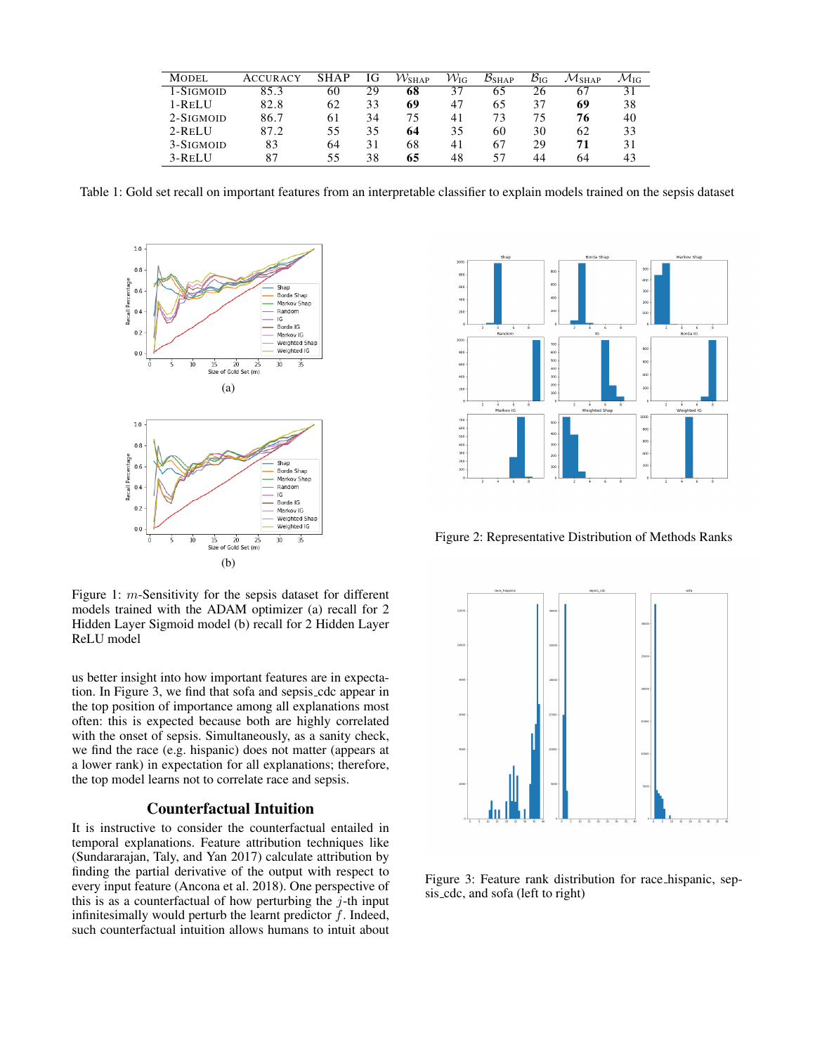| MODEL      | <b>ACCURACY</b> | SHAP | ΙG | $\mathcal{W}_{\rm SHAP}$ | $\mathcal{W}_{\text{IG}}$ | $B_{SHAP}$ | $\mathcal{B}_{\text{IG}}$ | Mshap. | $\mathcal{M}$ IG |
|------------|-----------------|------|----|--------------------------|---------------------------|------------|---------------------------|--------|------------------|
| 1-SIGMOID  | 85.3            | 60   | 29 | 68                       | 37                        | 65         | 26                        | 67     | 31               |
| 1-RELU     | 82.8            | 62   | 33 | 69                       | 47                        | 65         | 37                        | 69     | 38               |
| 2-SIGMOID  | 86.7            | 61   | 34 | 75                       | 41                        | 73         | 75                        | 76     | 40               |
| $2$ -Relli | 87.2            | 55   | 35 | 64                       | 35                        | 60         | 30                        | 62     | 33               |
| 3-SIGMOID  | 83              | 64   | 31 | 68                       | 41                        | 67         | 29                        | 71     | 31               |
| 3-RELU     | 87              | 55   | 38 | 65                       | 48                        | 57         | 44                        | 64     | 43               |

Table 1: Gold set recall on important features from an interpretable classifier to explain models trained on the sepsis dataset



Figure 1: m-Sensitivity for the sepsis dataset for different models trained with the ADAM optimizer (a) recall for 2 Hidden Layer Sigmoid model (b) recall for 2 Hidden Layer ReLU model

us better insight into how important features are in expectation. In Figure 3, we find that sofa and sepsis cdc appear in the top position of importance among all explanations most often: this is expected because both are highly correlated with the onset of sepsis. Simultaneously, as a sanity check, we find the race (e.g. hispanic) does not matter (appears at a lower rank) in expectation for all explanations; therefore, the top model learns not to correlate race and sepsis.

## Counterfactual Intuition

It is instructive to consider the counterfactual entailed in temporal explanations. Feature attribution techniques like (Sundararajan, Taly, and Yan 2017) calculate attribution by finding the partial derivative of the output with respect to every input feature (Ancona et al. 2018). One perspective of this is as a counterfactual of how perturbing the  $j$ -th input infinitesimally would perturb the learnt predictor  $f$ . Indeed, such counterfactual intuition allows humans to intuit about



Figure 2: Representative Distribution of Methods Ranks



Figure 3: Feature rank distribution for race hispanic, sepsis cdc, and sofa (left to right)